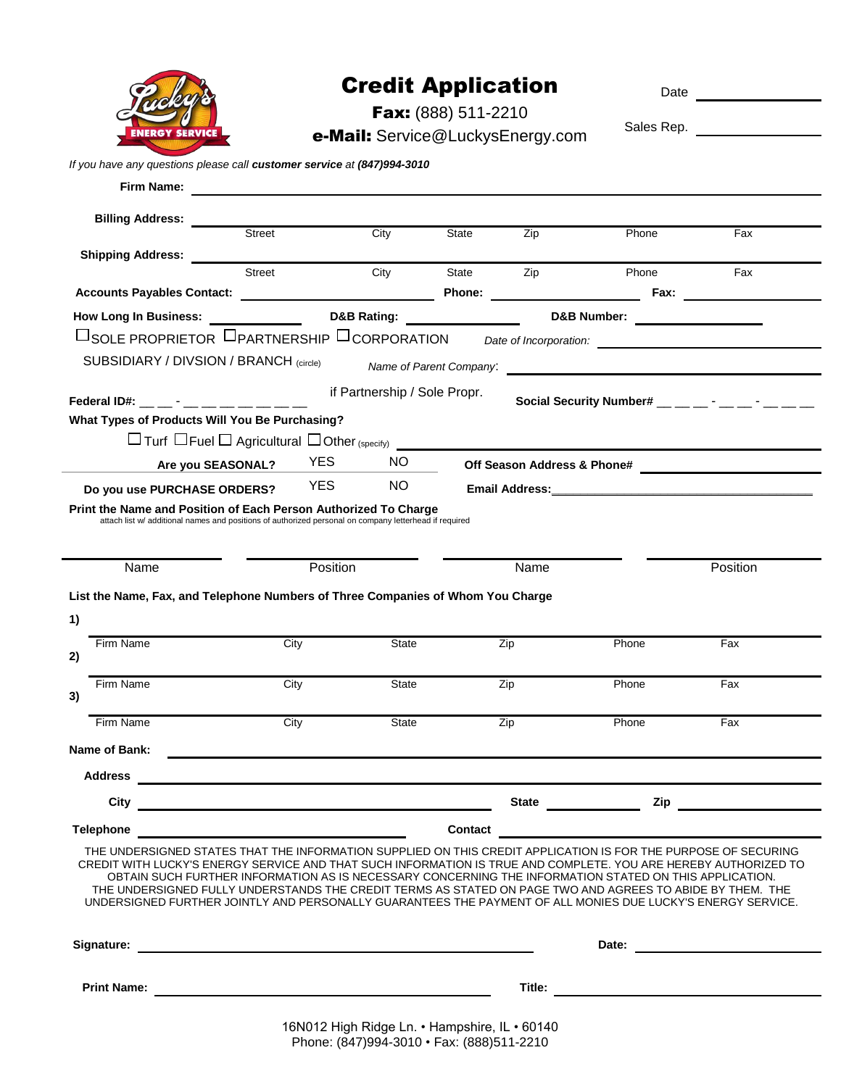|  | <b>ENERGY SERVICE</b> |  |
|--|-----------------------|--|

## Credit Application

Date

Fax: (888) 511-2210 e-Mail: Service@LuckysEnergy.com

| Sales Rep. |  |
|------------|--|
|            |  |

| Firm Name:<br><b>Billing Address:</b><br>Street<br>City<br><b>State</b><br>Zip<br>Phone<br>Fax<br><b>Shipping Address:</b><br>Street<br><b>State</b><br>City<br>Zip<br>Phone<br>Fax<br><b>Phone:</b> The contract of the contract of the contract of the contract of the contract of the contract of the contract of the contract of the contract of the contract of the contract of the contract of the contract of the c<br>Fax: $\qquad \qquad$<br><b>How Long In Business:</b><br><b>D&amp;B Rating:</b><br><b>D&amp;B Number:</b><br>SUBSIDIARY / DIVSION / BRANCH (circle)<br>if Partnership / Sole Propr.<br>Social Security Number# $\_\_$ $\_\_$ $\_\_$ $\_\_$<br>Federal ID#: __ __ - __ __ __ __ __ __ __<br>What Types of Products Will You Be Purchasing?<br>$\Box$ Turf $\Box$ Fuel $\Box$ Agricultural $\Box$ Other (specify)<br><b>YES</b><br>NO.<br>Are you SEASONAL?<br><b>YES</b><br>NO.<br>Do you use PURCHASE ORDERS?<br>Email Address: Email Address:<br>Print the Name and Position of Each Person Authorized To Charge<br>attach list w/ additional names and positions of authorized personal on company letterhead if required<br>Position<br>Position<br>Name<br>Name<br>List the Name, Fax, and Telephone Numbers of Three Companies of Whom You Charge<br>Firm Name<br>City<br>Zip<br>Phone<br>Fax<br><b>State</b><br>Firm Name<br>City<br>Zip<br>Phone<br>Fax<br>State<br>3) |    | If you have any questions please call customer service at (847)994-3010 |  |        |       |  |
|------------------------------------------------------------------------------------------------------------------------------------------------------------------------------------------------------------------------------------------------------------------------------------------------------------------------------------------------------------------------------------------------------------------------------------------------------------------------------------------------------------------------------------------------------------------------------------------------------------------------------------------------------------------------------------------------------------------------------------------------------------------------------------------------------------------------------------------------------------------------------------------------------------------------------------------------------------------------------------------------------------------------------------------------------------------------------------------------------------------------------------------------------------------------------------------------------------------------------------------------------------------------------------------------------------------------------------------------------------------------------------------------------------|----|-------------------------------------------------------------------------|--|--------|-------|--|
|                                                                                                                                                                                                                                                                                                                                                                                                                                                                                                                                                                                                                                                                                                                                                                                                                                                                                                                                                                                                                                                                                                                                                                                                                                                                                                                                                                                                            |    |                                                                         |  |        |       |  |
|                                                                                                                                                                                                                                                                                                                                                                                                                                                                                                                                                                                                                                                                                                                                                                                                                                                                                                                                                                                                                                                                                                                                                                                                                                                                                                                                                                                                            |    |                                                                         |  |        |       |  |
|                                                                                                                                                                                                                                                                                                                                                                                                                                                                                                                                                                                                                                                                                                                                                                                                                                                                                                                                                                                                                                                                                                                                                                                                                                                                                                                                                                                                            |    |                                                                         |  |        |       |  |
|                                                                                                                                                                                                                                                                                                                                                                                                                                                                                                                                                                                                                                                                                                                                                                                                                                                                                                                                                                                                                                                                                                                                                                                                                                                                                                                                                                                                            |    |                                                                         |  |        |       |  |
|                                                                                                                                                                                                                                                                                                                                                                                                                                                                                                                                                                                                                                                                                                                                                                                                                                                                                                                                                                                                                                                                                                                                                                                                                                                                                                                                                                                                            |    |                                                                         |  |        |       |  |
|                                                                                                                                                                                                                                                                                                                                                                                                                                                                                                                                                                                                                                                                                                                                                                                                                                                                                                                                                                                                                                                                                                                                                                                                                                                                                                                                                                                                            |    |                                                                         |  |        |       |  |
|                                                                                                                                                                                                                                                                                                                                                                                                                                                                                                                                                                                                                                                                                                                                                                                                                                                                                                                                                                                                                                                                                                                                                                                                                                                                                                                                                                                                            |    |                                                                         |  |        |       |  |
|                                                                                                                                                                                                                                                                                                                                                                                                                                                                                                                                                                                                                                                                                                                                                                                                                                                                                                                                                                                                                                                                                                                                                                                                                                                                                                                                                                                                            |    |                                                                         |  |        |       |  |
|                                                                                                                                                                                                                                                                                                                                                                                                                                                                                                                                                                                                                                                                                                                                                                                                                                                                                                                                                                                                                                                                                                                                                                                                                                                                                                                                                                                                            |    |                                                                         |  |        |       |  |
|                                                                                                                                                                                                                                                                                                                                                                                                                                                                                                                                                                                                                                                                                                                                                                                                                                                                                                                                                                                                                                                                                                                                                                                                                                                                                                                                                                                                            |    |                                                                         |  |        |       |  |
|                                                                                                                                                                                                                                                                                                                                                                                                                                                                                                                                                                                                                                                                                                                                                                                                                                                                                                                                                                                                                                                                                                                                                                                                                                                                                                                                                                                                            |    |                                                                         |  |        |       |  |
|                                                                                                                                                                                                                                                                                                                                                                                                                                                                                                                                                                                                                                                                                                                                                                                                                                                                                                                                                                                                                                                                                                                                                                                                                                                                                                                                                                                                            |    |                                                                         |  |        |       |  |
|                                                                                                                                                                                                                                                                                                                                                                                                                                                                                                                                                                                                                                                                                                                                                                                                                                                                                                                                                                                                                                                                                                                                                                                                                                                                                                                                                                                                            |    |                                                                         |  |        |       |  |
|                                                                                                                                                                                                                                                                                                                                                                                                                                                                                                                                                                                                                                                                                                                                                                                                                                                                                                                                                                                                                                                                                                                                                                                                                                                                                                                                                                                                            |    |                                                                         |  |        |       |  |
|                                                                                                                                                                                                                                                                                                                                                                                                                                                                                                                                                                                                                                                                                                                                                                                                                                                                                                                                                                                                                                                                                                                                                                                                                                                                                                                                                                                                            |    |                                                                         |  |        |       |  |
|                                                                                                                                                                                                                                                                                                                                                                                                                                                                                                                                                                                                                                                                                                                                                                                                                                                                                                                                                                                                                                                                                                                                                                                                                                                                                                                                                                                                            |    |                                                                         |  |        |       |  |
|                                                                                                                                                                                                                                                                                                                                                                                                                                                                                                                                                                                                                                                                                                                                                                                                                                                                                                                                                                                                                                                                                                                                                                                                                                                                                                                                                                                                            |    |                                                                         |  |        |       |  |
|                                                                                                                                                                                                                                                                                                                                                                                                                                                                                                                                                                                                                                                                                                                                                                                                                                                                                                                                                                                                                                                                                                                                                                                                                                                                                                                                                                                                            |    |                                                                         |  |        |       |  |
|                                                                                                                                                                                                                                                                                                                                                                                                                                                                                                                                                                                                                                                                                                                                                                                                                                                                                                                                                                                                                                                                                                                                                                                                                                                                                                                                                                                                            |    |                                                                         |  |        |       |  |
|                                                                                                                                                                                                                                                                                                                                                                                                                                                                                                                                                                                                                                                                                                                                                                                                                                                                                                                                                                                                                                                                                                                                                                                                                                                                                                                                                                                                            |    |                                                                         |  |        |       |  |
|                                                                                                                                                                                                                                                                                                                                                                                                                                                                                                                                                                                                                                                                                                                                                                                                                                                                                                                                                                                                                                                                                                                                                                                                                                                                                                                                                                                                            | 1) |                                                                         |  |        |       |  |
|                                                                                                                                                                                                                                                                                                                                                                                                                                                                                                                                                                                                                                                                                                                                                                                                                                                                                                                                                                                                                                                                                                                                                                                                                                                                                                                                                                                                            |    |                                                                         |  |        |       |  |
|                                                                                                                                                                                                                                                                                                                                                                                                                                                                                                                                                                                                                                                                                                                                                                                                                                                                                                                                                                                                                                                                                                                                                                                                                                                                                                                                                                                                            | 2) |                                                                         |  |        |       |  |
|                                                                                                                                                                                                                                                                                                                                                                                                                                                                                                                                                                                                                                                                                                                                                                                                                                                                                                                                                                                                                                                                                                                                                                                                                                                                                                                                                                                                            |    |                                                                         |  |        |       |  |
|                                                                                                                                                                                                                                                                                                                                                                                                                                                                                                                                                                                                                                                                                                                                                                                                                                                                                                                                                                                                                                                                                                                                                                                                                                                                                                                                                                                                            |    |                                                                         |  |        |       |  |
| Firm Name<br>City<br>Zip<br><b>State</b><br>Phone<br>Fax                                                                                                                                                                                                                                                                                                                                                                                                                                                                                                                                                                                                                                                                                                                                                                                                                                                                                                                                                                                                                                                                                                                                                                                                                                                                                                                                                   |    |                                                                         |  |        |       |  |
| Name of Bank:                                                                                                                                                                                                                                                                                                                                                                                                                                                                                                                                                                                                                                                                                                                                                                                                                                                                                                                                                                                                                                                                                                                                                                                                                                                                                                                                                                                              |    |                                                                         |  |        |       |  |
| <b>Address</b><br><u> 1989 - Johann Stein, marwolaethau a bhann an t-Amhair an t-Amhair an t-Amhair an t-Amhair an t-Amhair an t-A</u>                                                                                                                                                                                                                                                                                                                                                                                                                                                                                                                                                                                                                                                                                                                                                                                                                                                                                                                                                                                                                                                                                                                                                                                                                                                                     |    |                                                                         |  |        |       |  |
|                                                                                                                                                                                                                                                                                                                                                                                                                                                                                                                                                                                                                                                                                                                                                                                                                                                                                                                                                                                                                                                                                                                                                                                                                                                                                                                                                                                                            |    | City                                                                    |  |        | Zip   |  |
|                                                                                                                                                                                                                                                                                                                                                                                                                                                                                                                                                                                                                                                                                                                                                                                                                                                                                                                                                                                                                                                                                                                                                                                                                                                                                                                                                                                                            |    |                                                                         |  |        |       |  |
| <b>State State State</b>                                                                                                                                                                                                                                                                                                                                                                                                                                                                                                                                                                                                                                                                                                                                                                                                                                                                                                                                                                                                                                                                                                                                                                                                                                                                                                                                                                                   |    |                                                                         |  |        |       |  |
| Contact<br><b>Telephone</b>                                                                                                                                                                                                                                                                                                                                                                                                                                                                                                                                                                                                                                                                                                                                                                                                                                                                                                                                                                                                                                                                                                                                                                                                                                                                                                                                                                                |    |                                                                         |  |        |       |  |
| THE UNDERSIGNED STATES THAT THE INFORMATION SUPPLIED ON THIS CREDIT APPLICATION IS FOR THE PURPOSE OF SECURING<br>CREDIT WITH LUCKY'S ENERGY SERVICE AND THAT SUCH INFORMATION IS TRUE AND COMPLETE. YOU ARE HEREBY AUTHORIZED TO                                                                                                                                                                                                                                                                                                                                                                                                                                                                                                                                                                                                                                                                                                                                                                                                                                                                                                                                                                                                                                                                                                                                                                          |    |                                                                         |  |        |       |  |
| OBTAIN SUCH FURTHER INFORMATION AS IS NECESSARY CONCERNING THE INFORMATION STATED ON THIS APPLICATION.                                                                                                                                                                                                                                                                                                                                                                                                                                                                                                                                                                                                                                                                                                                                                                                                                                                                                                                                                                                                                                                                                                                                                                                                                                                                                                     |    |                                                                         |  |        |       |  |
| THE UNDERSIGNED FULLY UNDERSTANDS THE CREDIT TERMS AS STATED ON PAGE TWO AND AGREES TO ABIDE BY THEM. THE<br>UNDERSIGNED FURTHER JOINTLY AND PERSONALLY GUARANTEES THE PAYMENT OF ALL MONIES DUE LUCKY'S ENERGY SERVICE.                                                                                                                                                                                                                                                                                                                                                                                                                                                                                                                                                                                                                                                                                                                                                                                                                                                                                                                                                                                                                                                                                                                                                                                   |    |                                                                         |  |        |       |  |
|                                                                                                                                                                                                                                                                                                                                                                                                                                                                                                                                                                                                                                                                                                                                                                                                                                                                                                                                                                                                                                                                                                                                                                                                                                                                                                                                                                                                            |    |                                                                         |  |        | Date: |  |
| Signature:                                                                                                                                                                                                                                                                                                                                                                                                                                                                                                                                                                                                                                                                                                                                                                                                                                                                                                                                                                                                                                                                                                                                                                                                                                                                                                                                                                                                 |    |                                                                         |  |        |       |  |
|                                                                                                                                                                                                                                                                                                                                                                                                                                                                                                                                                                                                                                                                                                                                                                                                                                                                                                                                                                                                                                                                                                                                                                                                                                                                                                                                                                                                            |    | <b>Print Name:</b>                                                      |  | Title: |       |  |
|                                                                                                                                                                                                                                                                                                                                                                                                                                                                                                                                                                                                                                                                                                                                                                                                                                                                                                                                                                                                                                                                                                                                                                                                                                                                                                                                                                                                            |    |                                                                         |  |        |       |  |
|                                                                                                                                                                                                                                                                                                                                                                                                                                                                                                                                                                                                                                                                                                                                                                                                                                                                                                                                                                                                                                                                                                                                                                                                                                                                                                                                                                                                            |    |                                                                         |  |        |       |  |
|                                                                                                                                                                                                                                                                                                                                                                                                                                                                                                                                                                                                                                                                                                                                                                                                                                                                                                                                                                                                                                                                                                                                                                                                                                                                                                                                                                                                            |    |                                                                         |  |        |       |  |
|                                                                                                                                                                                                                                                                                                                                                                                                                                                                                                                                                                                                                                                                                                                                                                                                                                                                                                                                                                                                                                                                                                                                                                                                                                                                                                                                                                                                            |    |                                                                         |  |        |       |  |
|                                                                                                                                                                                                                                                                                                                                                                                                                                                                                                                                                                                                                                                                                                                                                                                                                                                                                                                                                                                                                                                                                                                                                                                                                                                                                                                                                                                                            |    |                                                                         |  |        |       |  |
|                                                                                                                                                                                                                                                                                                                                                                                                                                                                                                                                                                                                                                                                                                                                                                                                                                                                                                                                                                                                                                                                                                                                                                                                                                                                                                                                                                                                            |    |                                                                         |  |        |       |  |
|                                                                                                                                                                                                                                                                                                                                                                                                                                                                                                                                                                                                                                                                                                                                                                                                                                                                                                                                                                                                                                                                                                                                                                                                                                                                                                                                                                                                            |    |                                                                         |  |        |       |  |
|                                                                                                                                                                                                                                                                                                                                                                                                                                                                                                                                                                                                                                                                                                                                                                                                                                                                                                                                                                                                                                                                                                                                                                                                                                                                                                                                                                                                            |    |                                                                         |  |        |       |  |
|                                                                                                                                                                                                                                                                                                                                                                                                                                                                                                                                                                                                                                                                                                                                                                                                                                                                                                                                                                                                                                                                                                                                                                                                                                                                                                                                                                                                            |    |                                                                         |  |        |       |  |
|                                                                                                                                                                                                                                                                                                                                                                                                                                                                                                                                                                                                                                                                                                                                                                                                                                                                                                                                                                                                                                                                                                                                                                                                                                                                                                                                                                                                            |    |                                                                         |  |        |       |  |
|                                                                                                                                                                                                                                                                                                                                                                                                                                                                                                                                                                                                                                                                                                                                                                                                                                                                                                                                                                                                                                                                                                                                                                                                                                                                                                                                                                                                            |    |                                                                         |  |        |       |  |
|                                                                                                                                                                                                                                                                                                                                                                                                                                                                                                                                                                                                                                                                                                                                                                                                                                                                                                                                                                                                                                                                                                                                                                                                                                                                                                                                                                                                            |    |                                                                         |  |        |       |  |